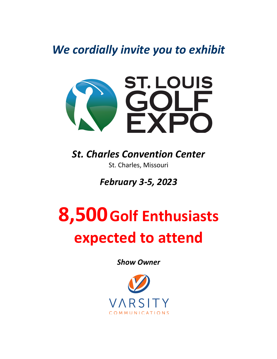*We cordially invite you to exhibit*



*St. Charles Convention Center*  St. Charles, Missouri

*February 3-5, 2023*

## **8,500Golf Enthusiasts expected to attend**

*Show Owner*

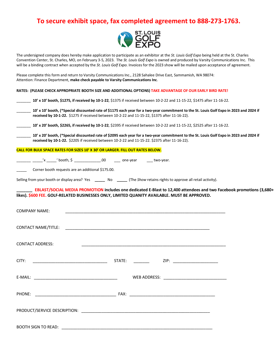## **To secure exhibit space, fax completed agreement to 888-273-1763.**



The undersigned company does hereby make application to participate as an exhibitor at the *St. Louis Golf Expo* being held at the St. Charles Convention Center, St. Charles, MO, on February 3-5, 2023. The *St. Louis Golf Expo* is owned and produced by Varsity Communications Inc. This will be a binding contract when accepted by the *St. Louis Golf Expo*. Invoices for the 2023 show will be mailed upon acceptance of agreement.

Please complete this form and return to Varsity Communications Inc., 2128 Sahalee Drive East, Sammamish, WA 98074: Attention: Finance Department, **make check payable to Varsity Communications Inc**.

**RATES: (PLEASE CHECK APPROPRIATE BOOTH SIZE AND ADDITIONAL OPTIONS) TAKE ADVANTAGE OF OUR EARLY BIRD RATE!**

| 10' x 10' booth, \$1275, if received by 10-1-22, \$1375 if received between 10-2-22 and 11-15-22, \$1475 after 11-16-22.                                                                                                                 |
|------------------------------------------------------------------------------------------------------------------------------------------------------------------------------------------------------------------------------------------|
| 10' x 10' booth, (*Special discounted rate of \$1175 each year for a two-year commitment to the St. Louis Golf Expo in 2023 and 2024 if<br>received by 10-1-22. \$1275 if received between 10-2-22 and 11-15-22, \$1375 after 11-16-22). |
| 10' x 20' booth, \$2265, if received by 10-1-22, \$2395 if received between 10-2-22 and 11-15-22, \$2525 after 11-16-22.                                                                                                                 |
| 10' x 20' booth, (*Special discounted rate of \$2095 each year for a two-year commitment to the St. Louis Golf Expo in 2023 and 2024 if<br>received by 10-1-22. \$2205 if received between 10-2-22 and 11-15-22. \$2375 after 11-16-22). |
| <b>CALL FOR BULK SPACE RATES FOR SIZES 10' X 30' OR LARGER. FILL OUT RATES BELOW.</b>                                                                                                                                                    |
|                                                                                                                                                                                                                                          |
| Corner booth requests are an additional \$175.00.                                                                                                                                                                                        |
| Selling from your booth or display area? Yes _______ No ______ (The Show retains rights to approve all retail activity).                                                                                                                 |
| EBLAST/SOCIAL MEDIA PROMOTION includes one dedicated E-Blast to 12,400 attendees and two Facebook promotions (3,680+<br>likes). \$600 FEE. GOLF-RELATED BUSINESSES ONLY, LIMITED QUANITY AVAILABLE. MUST BE APPROVED.                    |
| COMPANY NAME:                                                                                                                                                                                                                            |
|                                                                                                                                                                                                                                          |
| <b>CONTACT ADDRESS:</b>                                                                                                                                                                                                                  |
| $STATE:$ $ZIP:$ $ZIP:$<br>CITY:                                                                                                                                                                                                          |
|                                                                                                                                                                                                                                          |
|                                                                                                                                                                                                                                          |
|                                                                                                                                                                                                                                          |
| BOOTH SIGN TO READ:                                                                                                                                                                                                                      |